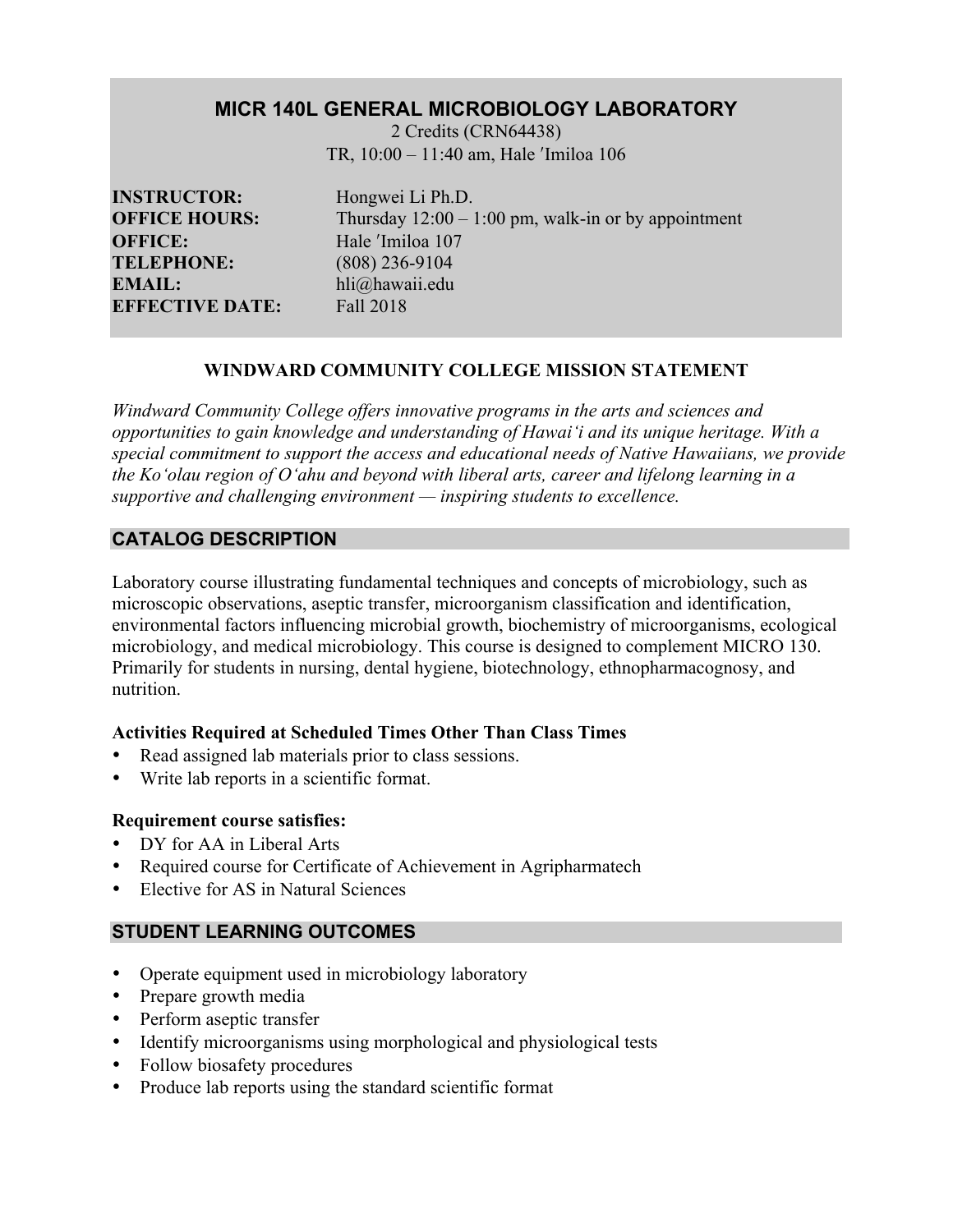# **MICR 140L GENERAL MICROBIOLOGY LABORATORY**

2 Credits (CRN64438) TR, 10:00 – 11:40 am, Hale ʹImiloa 106

**INSTRUCTOR:** Hongwei Li Ph.D. **OFFICE:** Hale <sup>'Imiloa</sup> 107 **TELEPHONE:** (808) 236-9104 **EMAIL:** hli@hawaii.edu **EFFECTIVE DATE:** Fall 2018

**OFFICE HOURS:** Thursday  $12:00 - 1:00$  pm, walk-in or by appointment

## **WINDWARD COMMUNITY COLLEGE MISSION STATEMENT**

*Windward Community College offers innovative programs in the arts and sciences and opportunities to gain knowledge and understanding of Hawai'i and its unique heritage. With a special commitment to support the access and educational needs of Native Hawaiians, we provide the Ko'olau region of Oʻahu and beyond with liberal arts, career and lifelong learning in a supportive and challenging environment — inspiring students to excellence.*

# **CATALOG DESCRIPTION**

Laboratory course illustrating fundamental techniques and concepts of microbiology, such as microscopic observations, aseptic transfer, microorganism classification and identification, environmental factors influencing microbial growth, biochemistry of microorganisms, ecological microbiology, and medical microbiology. This course is designed to complement MICRO 130. Primarily for students in nursing, dental hygiene, biotechnology, ethnopharmacognosy, and nutrition.

## **Activities Required at Scheduled Times Other Than Class Times**

- Read assigned lab materials prior to class sessions.
- Write lab reports in a scientific format.

## **Requirement course satisfies:**

- DY for AA in Liberal Arts
- Required course for Certificate of Achievement in Agripharmatech
- Elective for AS in Natural Sciences

# **STUDENT LEARNING OUTCOMES**

- Operate equipment used in microbiology laboratory
- Prepare growth media
- Perform aseptic transfer
- Identify microorganisms using morphological and physiological tests
- Follow biosafety procedures
- Produce lab reports using the standard scientific format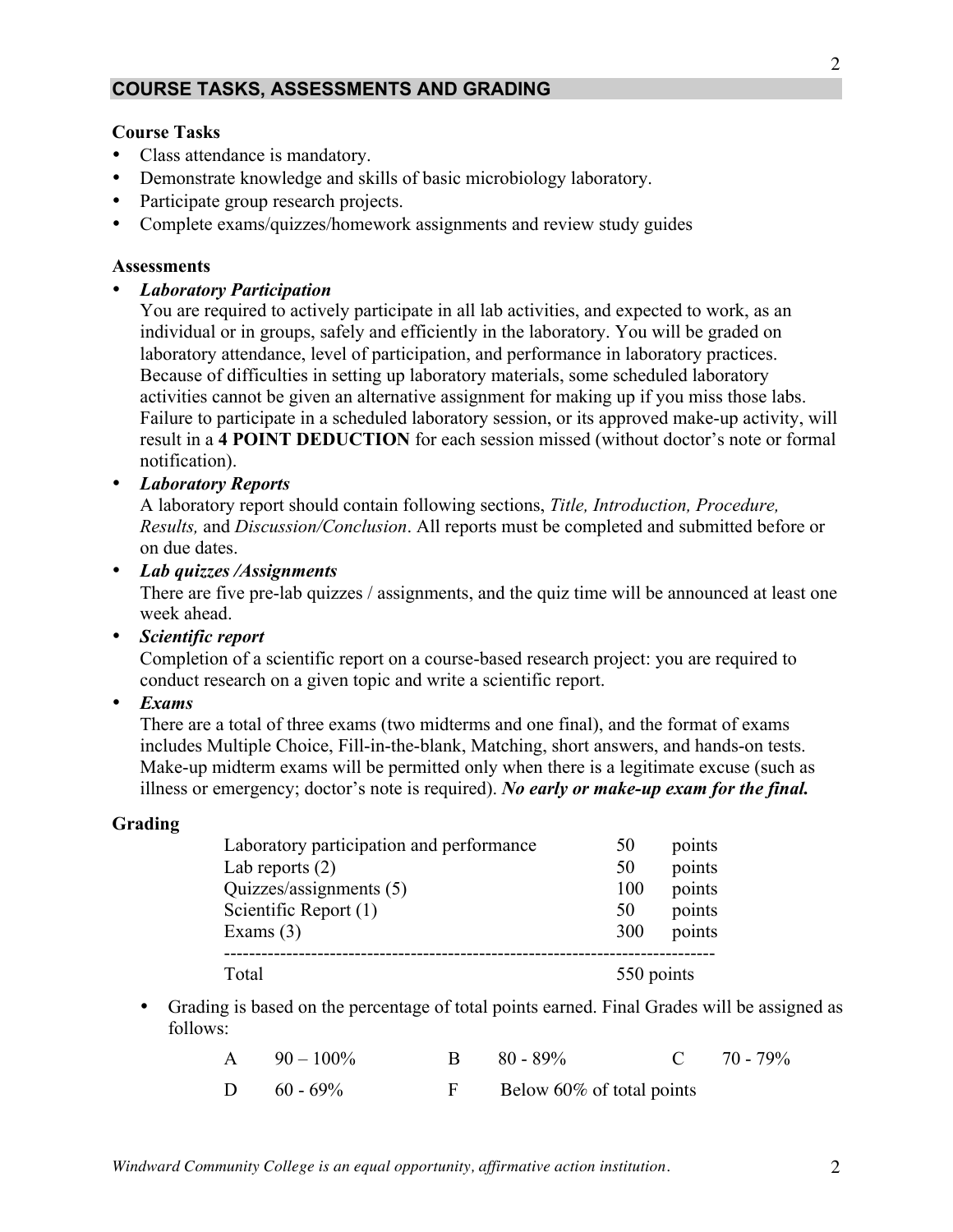### **Course Tasks**

- Class attendance is mandatory.
- Demonstrate knowledge and skills of basic microbiology laboratory.
- Participate group research projects.
- Complete exams/quizzes/homework assignments and review study guides

#### **Assessments**

• *Laboratory Participation* 

You are required to actively participate in all lab activities, and expected to work, as an individual or in groups, safely and efficiently in the laboratory. You will be graded on laboratory attendance, level of participation, and performance in laboratory practices. Because of difficulties in setting up laboratory materials, some scheduled laboratory activities cannot be given an alternative assignment for making up if you miss those labs. Failure to participate in a scheduled laboratory session, or its approved make-up activity, will result in a **4 POINT DEDUCTION** for each session missed (without doctor's note or formal notification).

• *Laboratory Reports*

A laboratory report should contain following sections, *Title, Introduction, Procedure, Results,* and *Discussion/Conclusion*. All reports must be completed and submitted before or on due dates.

• *Lab quizzes /Assignments*

There are five pre-lab quizzes / assignments, and the quiz time will be announced at least one week ahead.

• *Scientific report*

Completion of a scientific report on a course-based research project: you are required to conduct research on a given topic and write a scientific report.

• *Exams*

There are a total of three exams (two midterms and one final), and the format of exams includes Multiple Choice, Fill-in-the-blank, Matching, short answers, and hands-on tests. Make-up midterm exams will be permitted only when there is a legitimate excuse (such as illness or emergency; doctor's note is required). *No early or make-up exam for the final.*

#### **Grading**

| Laboratory participation and performance | 50         | points |
|------------------------------------------|------------|--------|
| Lab reports $(2)$                        | 50         | points |
| Quizzes/assignments (5)                  | 100        | points |
| Scientific Report (1)                    | 50         | points |
| Exams $(3)$                              | 300        | points |
| Total                                    | 550 points |        |

• Grading is based on the percentage of total points earned. Final Grades will be assigned as follows:

| $A = 90 - 100\%$ | $B = 80 - 89\%$             |  | $C = 70 - 79\%$ |
|------------------|-----------------------------|--|-----------------|
| D $60 - 69\%$    | F Below 60% of total points |  |                 |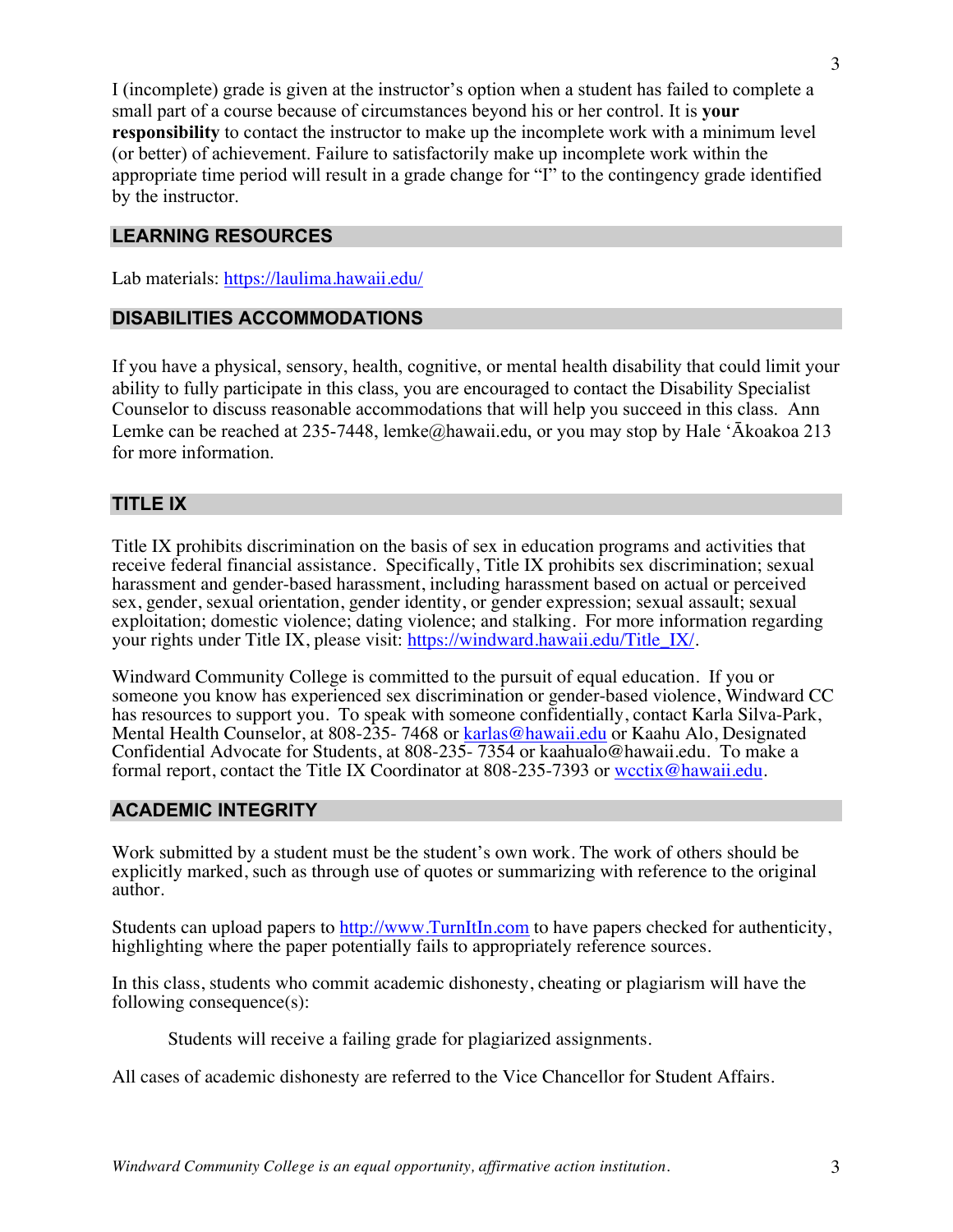I (incomplete) grade is given at the instructor's option when a student has failed to complete a small part of a course because of circumstances beyond his or her control. It is **your responsibility** to contact the instructor to make up the incomplete work with a minimum level (or better) of achievement. Failure to satisfactorily make up incomplete work within the appropriate time period will result in a grade change for "I" to the contingency grade identified by the instructor.

### **LEARNING RESOURCES**

Lab materials: https://laulima.hawaii.edu/

#### **DISABILITIES ACCOMMODATIONS**

If you have a physical, sensory, health, cognitive, or mental health disability that could limit your ability to fully participate in this class, you are encouraged to contact the Disability Specialist Counselor to discuss reasonable accommodations that will help you succeed in this class. Ann Lemke can be reached at 235-7448, lemke@hawaii.edu, or you may stop by Hale 'Ākoakoa 213 for more information.

## **TITLE IX**

Title IX prohibits discrimination on the basis of sex in education programs and activities that receive federal financial assistance. Specifically, Title IX prohibits sex discrimination; sexual harassment and gender-based harassment, including harassment based on actual or perceived sex, gender, sexual orientation, gender identity, or gender expression; sexual assault; sexual exploitation; domestic violence; dating violence; and stalking. For more information regarding your rights under Title IX, please visit: https://windward.hawaii.edu/Title\_IX/.

Windward Community College is committed to the pursuit of equal education. If you or someone you know has experienced sex discrimination or gender-based violence, Windward CC has resources to support you. To speak with someone confidentially, contact Karla Silva-Park, Mental Health Counselor, at 808-235- 7468 or karlas@hawaii.edu or Kaahu Alo, Designated Confidential Advocate for Students, at 808-235- 7354 or kaahualo@hawaii.edu. To make a formal report, contact the Title IX Coordinator at 808-235-7393 or wcctix@hawaii.edu.

#### **ACADEMIC INTEGRITY**

Work submitted by a student must be the student's own work. The work of others should be explicitly marked, such as through use of quotes or summarizing with reference to the original author.

Students can upload papers to http://www.TurnItIn.com to have papers checked for authenticity, highlighting where the paper potentially fails to appropriately reference sources.

In this class, students who commit academic dishonesty, cheating or plagiarism will have the following consequence(s):

Students will receive a failing grade for plagiarized assignments.

All cases of academic dishonesty are referred to the Vice Chancellor for Student Affairs.

3